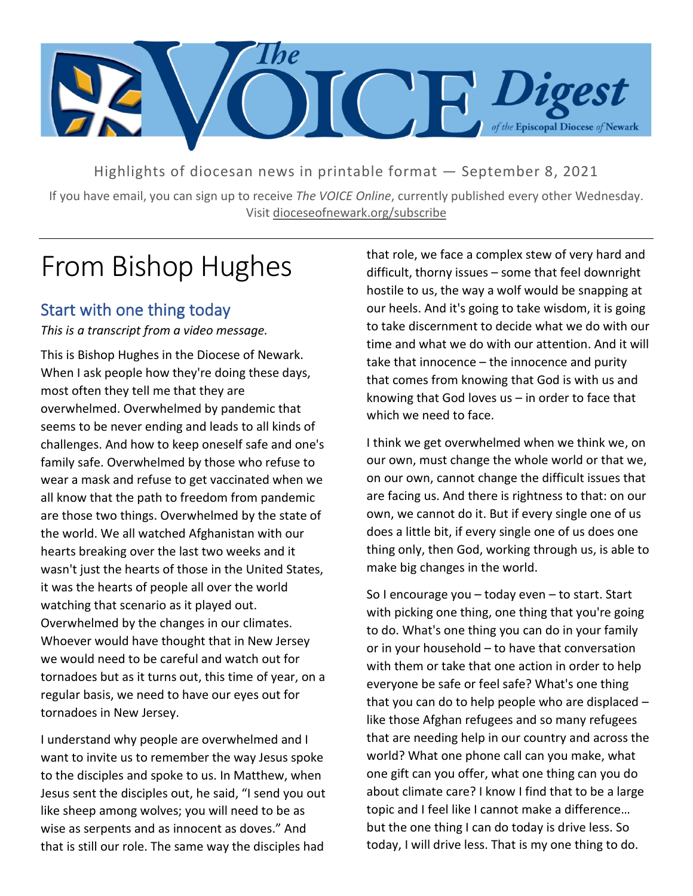

Highlights of diocesan news in printable format — September 8, 2021

If you have email, you can sign up to receive *The VOICE Online*, currently published every other Wednesday. Visit dioceseofnewark.org/subscribe

# From Bishop Hughes

#### Start with one thing today

*This is a transcript from a video message.*

This is Bishop Hughes in the Diocese of Newark. When I ask people how they're doing these days, most often they tell me that they are overwhelmed. Overwhelmed by pandemic that seems to be never ending and leads to all kinds of challenges. And how to keep oneself safe and one's family safe. Overwhelmed by those who refuse to wear a mask and refuse to get vaccinated when we all know that the path to freedom from pandemic are those two things. Overwhelmed by the state of the world. We all watched Afghanistan with our hearts breaking over the last two weeks and it wasn't just the hearts of those in the United States, it was the hearts of people all over the world watching that scenario as it played out. Overwhelmed by the changes in our climates. Whoever would have thought that in New Jersey we would need to be careful and watch out for tornadoes but as it turns out, this time of year, on a regular basis, we need to have our eyes out for tornadoes in New Jersey.

I understand why people are overwhelmed and I want to invite us to remember the way Jesus spoke to the disciples and spoke to us. In Matthew, when Jesus sent the disciples out, he said, "I send you out like sheep among wolves; you will need to be as wise as serpents and as innocent as doves." And that is still our role. The same way the disciples had that role, we face a complex stew of very hard and difficult, thorny issues – some that feel downright hostile to us, the way a wolf would be snapping at our heels. And it's going to take wisdom, it is going to take discernment to decide what we do with our time and what we do with our attention. And it will take that innocence – the innocence and purity that comes from knowing that God is with us and knowing that God loves  $us - in$  order to face that which we need to face.

I think we get overwhelmed when we think we, on our own, must change the whole world or that we, on our own, cannot change the difficult issues that are facing us. And there is rightness to that: on our own, we cannot do it. But if every single one of us does a little bit, if every single one of us does one thing only, then God, working through us, is able to make big changes in the world.

So I encourage you – today even – to start. Start with picking one thing, one thing that you're going to do. What's one thing you can do in your family or in your household – to have that conversation with them or take that one action in order to help everyone be safe or feel safe? What's one thing that you can do to help people who are displaced – like those Afghan refugees and so many refugees that are needing help in our country and across the world? What one phone call can you make, what one gift can you offer, what one thing can you do about climate care? I know I find that to be a large topic and I feel like I cannot make a difference… but the one thing I can do today is drive less. So today, I will drive less. That is my one thing to do.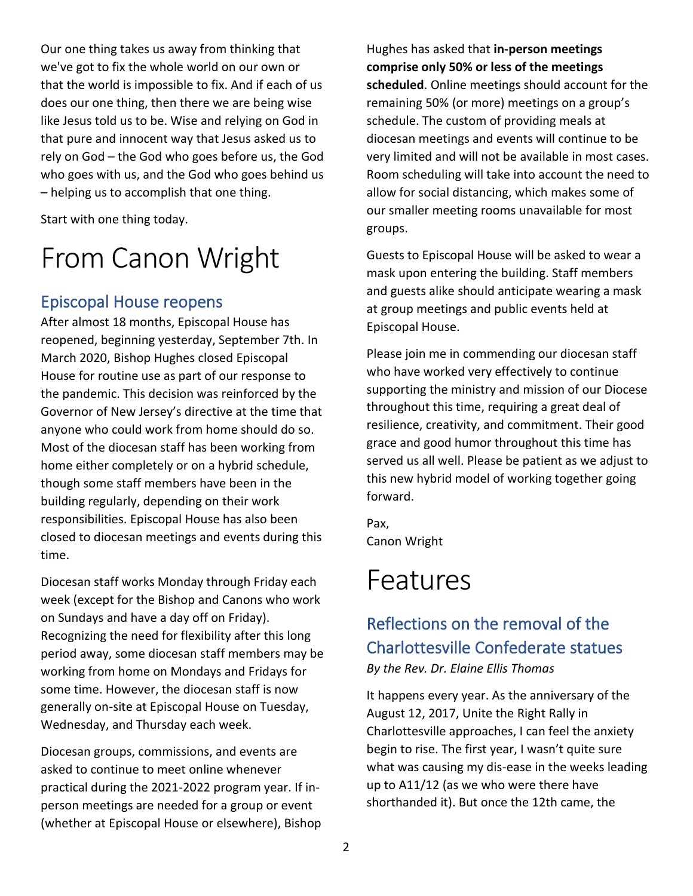Our one thing takes us away from thinking that we've got to fix the whole world on our own or that the world is impossible to fix. And if each of us does our one thing, then there we are being wise like Jesus told us to be. Wise and relying on God in that pure and innocent way that Jesus asked us to rely on God – the God who goes before us, the God who goes with us, and the God who goes behind us – helping us to accomplish that one thing.

Start with one thing today.

# From Canon Wright

### Episcopal House reopens

After almost 18 months, Episcopal House has reopened, beginning yesterday, September 7th. In March 2020, Bishop Hughes closed Episcopal House for routine use as part of our response to the pandemic. This decision was reinforced by the Governor of New Jersey's directive at the time that anyone who could work from home should do so. Most of the diocesan staff has been working from home either completely or on a hybrid schedule, though some staff members have been in the building regularly, depending on their work responsibilities. Episcopal House has also been closed to diocesan meetings and events during this time.

Diocesan staff works Monday through Friday each week (except for the Bishop and Canons who work on Sundays and have a day off on Friday). Recognizing the need for flexibility after this long period away, some diocesan staff members may be working from home on Mondays and Fridays for some time. However, the diocesan staff is now generally on-site at Episcopal House on Tuesday, Wednesday, and Thursday each week.

Diocesan groups, commissions, and events are asked to continue to meet online whenever practical during the 2021-2022 program year. If inperson meetings are needed for a group or event (whether at Episcopal House or elsewhere), Bishop Hughes has asked that **in-person meetings comprise only 50% or less of the meetings scheduled**. Online meetings should account for the remaining 50% (or more) meetings on a group's schedule. The custom of providing meals at diocesan meetings and events will continue to be very limited and will not be available in most cases. Room scheduling will take into account the need to allow for social distancing, which makes some of our smaller meeting rooms unavailable for most groups.

Guests to Episcopal House will be asked to wear a mask upon entering the building. Staff members and guests alike should anticipate wearing a mask at group meetings and public events held at Episcopal House.

Please join me in commending our diocesan staff who have worked very effectively to continue supporting the ministry and mission of our Diocese throughout this time, requiring a great deal of resilience, creativity, and commitment. Their good grace and good humor throughout this time has served us all well. Please be patient as we adjust to this new hybrid model of working together going forward.

Pax, Canon Wright

## Features

### Reflections on the removal of the Charlottesville Confederate statues

*By the Rev. Dr. Elaine Ellis Thomas*

It happens every year. As the anniversary of the August 12, 2017, Unite the Right Rally in Charlottesville approaches, I can feel the anxiety begin to rise. The first year, I wasn't quite sure what was causing my dis-ease in the weeks leading up to A11/12 (as we who were there have shorthanded it). But once the 12th came, the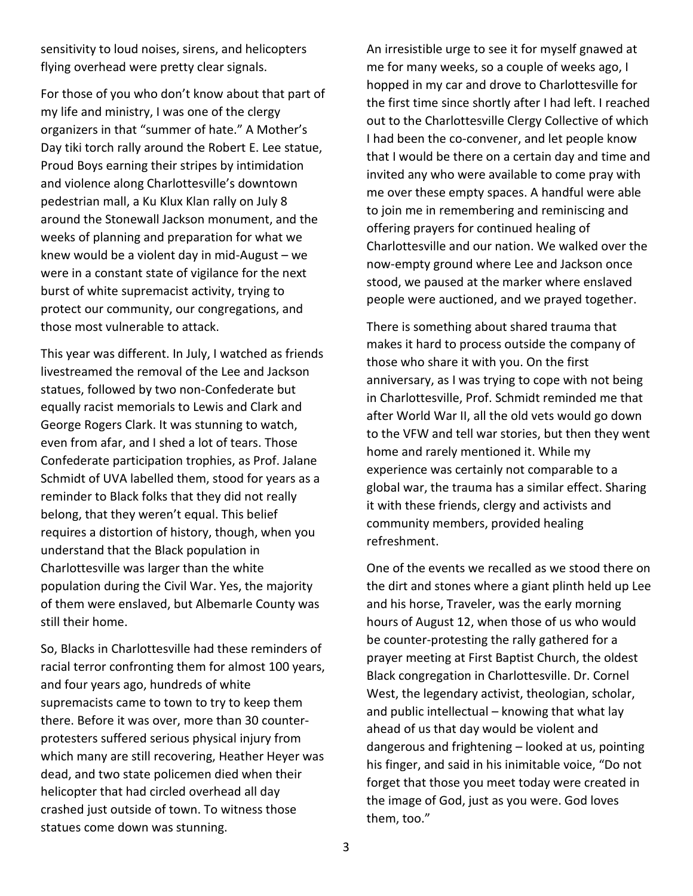sensitivity to loud noises, sirens, and helicopters flying overhead were pretty clear signals.

For those of you who don't know about that part of my life and ministry, I was one of the clergy organizers in that "summer of hate." A Mother's Day tiki torch rally around the Robert E. Lee statue, Proud Boys earning their stripes by intimidation and violence along Charlottesville's downtown pedestrian mall, a Ku Klux Klan rally on July 8 around the Stonewall Jackson monument, and the weeks of planning and preparation for what we knew would be a violent day in mid-August – we were in a constant state of vigilance for the next burst of white supremacist activity, trying to protect our community, our congregations, and those most vulnerable to attack.

This year was different. In July, I watched as friends livestreamed the removal of the Lee and Jackson statues, followed by two non-Confederate but equally racist memorials to Lewis and Clark and George Rogers Clark. It was stunning to watch, even from afar, and I shed a lot of tears. Those Confederate participation trophies, as Prof. Jalane Schmidt of UVA labelled them, stood for years as a reminder to Black folks that they did not really belong, that they weren't equal. This belief requires a distortion of history, though, when you understand that the Black population in Charlottesville was larger than the white population during the Civil War. Yes, the majority of them were enslaved, but Albemarle County was still their home.

So, Blacks in Charlottesville had these reminders of racial terror confronting them for almost 100 years, and four years ago, hundreds of white supremacists came to town to try to keep them there. Before it was over, more than 30 counterprotesters suffered serious physical injury from which many are still recovering, Heather Heyer was dead, and two state policemen died when their helicopter that had circled overhead all day crashed just outside of town. To witness those statues come down was stunning.

An irresistible urge to see it for myself gnawed at me for many weeks, so a couple of weeks ago, I hopped in my car and drove to Charlottesville for the first time since shortly after I had left. I reached out to the Charlottesville Clergy Collective of which I had been the co-convener, and let people know that I would be there on a certain day and time and invited any who were available to come pray with me over these empty spaces. A handful were able to join me in remembering and reminiscing and offering prayers for continued healing of Charlottesville and our nation. We walked over the now-empty ground where Lee and Jackson once stood, we paused at the marker where enslaved people were auctioned, and we prayed together.

There is something about shared trauma that makes it hard to process outside the company of those who share it with you. On the first anniversary, as I was trying to cope with not being in Charlottesville, Prof. Schmidt reminded me that after World War II, all the old vets would go down to the VFW and tell war stories, but then they went home and rarely mentioned it. While my experience was certainly not comparable to a global war, the trauma has a similar effect. Sharing it with these friends, clergy and activists and community members, provided healing refreshment.

One of the events we recalled as we stood there on the dirt and stones where a giant plinth held up Lee and his horse, Traveler, was the early morning hours of August 12, when those of us who would be counter-protesting the rally gathered for a prayer meeting at First Baptist Church, the oldest Black congregation in Charlottesville. Dr. Cornel West, the legendary activist, theologian, scholar, and public intellectual – knowing that what lay ahead of us that day would be violent and dangerous and frightening – looked at us, pointing his finger, and said in his inimitable voice, "Do not forget that those you meet today were created in the image of God, just as you were. God loves them, too."